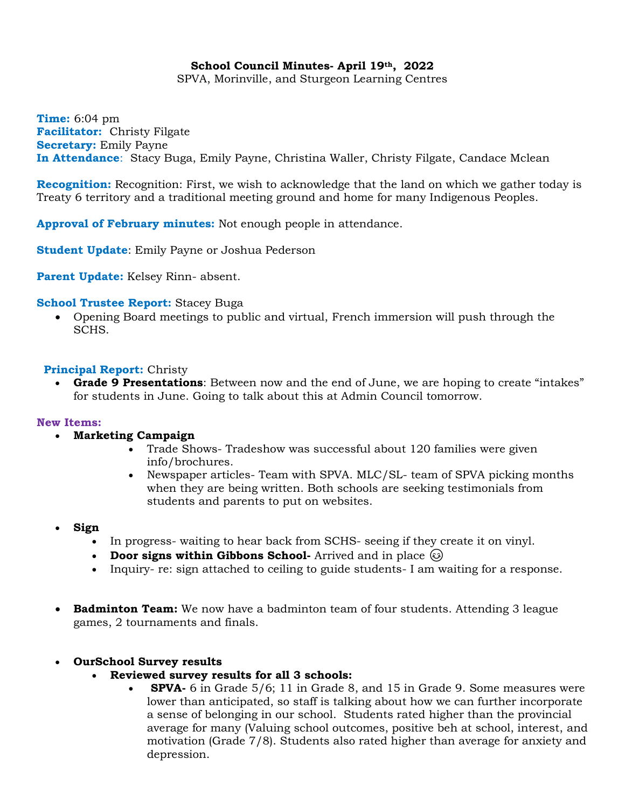# **School Council Minutes- April 19th, 2022**

SPVA, Morinville, and Sturgeon Learning Centres

**Time:** 6:04 pm **Facilitator:** Christy Filgate **Secretary:** Emily Payne **In Attendance**: Stacy Buga, Emily Payne, Christina Waller, Christy Filgate, Candace Mclean

**Recognition:** Recognition: First, we wish to acknowledge that the land on which we gather today is Treaty 6 territory and a traditional meeting ground and home for many Indigenous Peoples.

**Approval of February minutes:** Not enough people in attendance.

**Student Update**: Emily Payne or Joshua Pederson

**Parent Update:** Kelsey Rinn- absent.

### **School Trustee Report:** Stacey Buga

• Opening Board meetings to public and virtual, French immersion will push through the SCHS.

## **Principal Report:** Christy

• **Grade 9 Presentations**: Between now and the end of June, we are hoping to create "intakes" for students in June. Going to talk about this at Admin Council tomorrow.

### **New Items:**

- **Marketing Campaign**
	- Trade Shows- Tradeshow was successful about 120 families were given info/brochures.
	- Newspaper articles- Team with SPVA. MLC/SL- team of SPVA picking months when they are being written. Both schools are seeking testimonials from students and parents to put on websites.
- **Sign**
	- In progress- waiting to hear back from SCHS- seeing if they create it on vinyl.
	- **Door signs within Gibbons School** Arrived and in place  $\odot$
	- Inquiry- re: sign attached to ceiling to guide students- I am waiting for a response.
- **Badminton Team:** We now have a badminton team of four students. Attending 3 league games, 2 tournaments and finals.

### • **OurSchool Survey results**

- **Reviewed survey results for all 3 schools:**
	- **SPVA-** 6 in Grade 5/6; 11 in Grade 8, and 15 in Grade 9. Some measures were lower than anticipated, so staff is talking about how we can further incorporate a sense of belonging in our school. Students rated higher than the provincial average for many (Valuing school outcomes, positive beh at school, interest, and motivation (Grade 7/8). Students also rated higher than average for anxiety and depression.